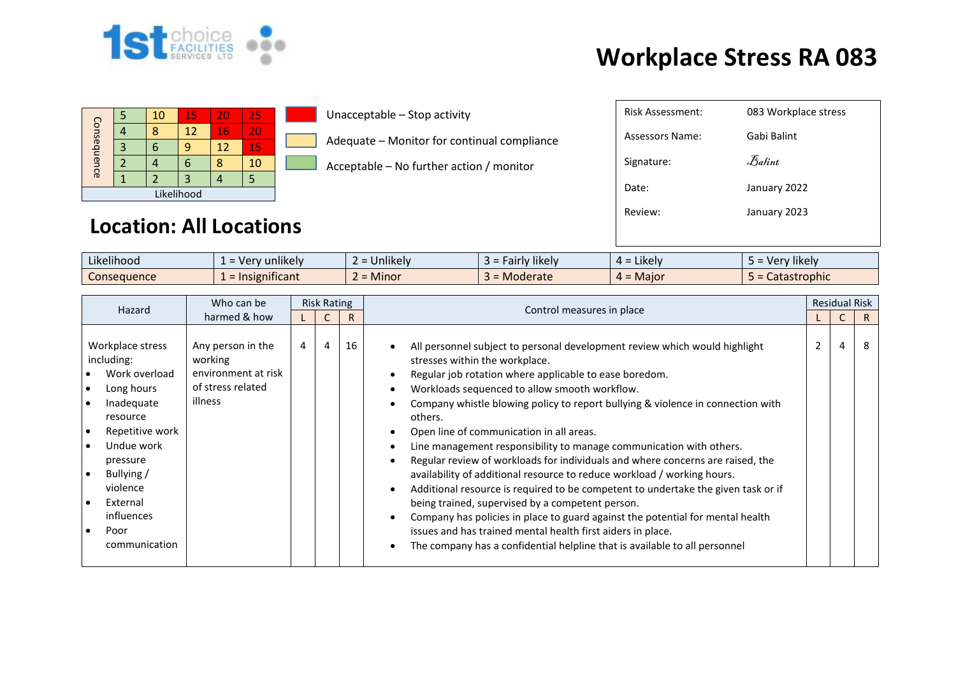

## **Workplace Stress RA 083**

|             |  | 10 | 15 | 20 | 25 |  |  |  |
|-------------|--|----|----|----|----|--|--|--|
| Consequence |  |    | 12 | 16 | 20 |  |  |  |
|             |  |    |    | 12 | 15 |  |  |  |
|             |  |    |    |    | 10 |  |  |  |
|             |  |    |    |    |    |  |  |  |
| Likelihood  |  |    |    |    |    |  |  |  |

Unacceptable – Stop activity

Adequate – Monitor for continual compliance

Acceptable – No further action / monitor

## **Location: All Locations**

| Risk Assessment: | 083 Workplace stress           |
|------------------|--------------------------------|
| Assessors Name:  | Gabi Balint                    |
| Signature:       | $\mathcal{F}_{\mathit{abint}}$ |
| Date:            | January 2022                   |
| Review:          | January 2023                   |
|                  |                                |

| $\cdots$<br>$-1.1$<br>Likelihood | $\blacksquare$<br>unlikely<br>$V^{\rho}$<br>$\overline{\phantom{0}}$ | $\cdots$<br><b>Jnlikely</b> | airly likely<br>-9 - | .<br>: Likely<br><del>…</del> - | $\cdots$<br><b>Tikely</b><br>ver |
|----------------------------------|----------------------------------------------------------------------|-----------------------------|----------------------|---------------------------------|----------------------------------|
| Consequence                      | nsignificant<br>$=$ Ir                                               | <b>Minor</b>                | Moderate             | $4 =$ Major                     | Catastrophic                     |

| Hazard                                                                                                                                                                                                           | Who can be                                                                          | <b>Risk Rating</b> |   |    |                                                                                                                                                                                                                                                                                                                                                                                                                                                                                                                                                                                                                                                                                                                                                                                                                                                                                                                                                                               |  | <b>Residual Risk</b> |    |
|------------------------------------------------------------------------------------------------------------------------------------------------------------------------------------------------------------------|-------------------------------------------------------------------------------------|--------------------|---|----|-------------------------------------------------------------------------------------------------------------------------------------------------------------------------------------------------------------------------------------------------------------------------------------------------------------------------------------------------------------------------------------------------------------------------------------------------------------------------------------------------------------------------------------------------------------------------------------------------------------------------------------------------------------------------------------------------------------------------------------------------------------------------------------------------------------------------------------------------------------------------------------------------------------------------------------------------------------------------------|--|----------------------|----|
| harmed & how                                                                                                                                                                                                     |                                                                                     |                    |   | R  | Control measures in place                                                                                                                                                                                                                                                                                                                                                                                                                                                                                                                                                                                                                                                                                                                                                                                                                                                                                                                                                     |  |                      | R  |
| Workplace stress<br>including:<br>Work overload<br>Long hours<br>Inadequate<br>resource<br>Repetitive work<br>Undue work<br>pressure<br>Bullying/<br>violence<br>External<br>influences<br>Poor<br>communication | Any person in the<br>working<br>environment at risk<br>of stress related<br>illness | $\overline{4}$     | 4 | 16 | All personnel subject to personal development review which would highlight<br>stresses within the workplace.<br>Regular job rotation where applicable to ease boredom.<br>Workloads sequenced to allow smooth workflow.<br>Company whistle blowing policy to report bullying & violence in connection with<br>others.<br>Open line of communication in all areas.<br>Line management responsibility to manage communication with others.<br>Regular review of workloads for individuals and where concerns are raised, the<br>availability of additional resource to reduce workload / working hours.<br>Additional resource is required to be competent to undertake the given task or if<br>being trained, supervised by a competent person.<br>Company has policies in place to guard against the potential for mental health<br>issues and has trained mental health first aiders in place.<br>The company has a confidential helpline that is available to all personnel |  | 4                    | -8 |